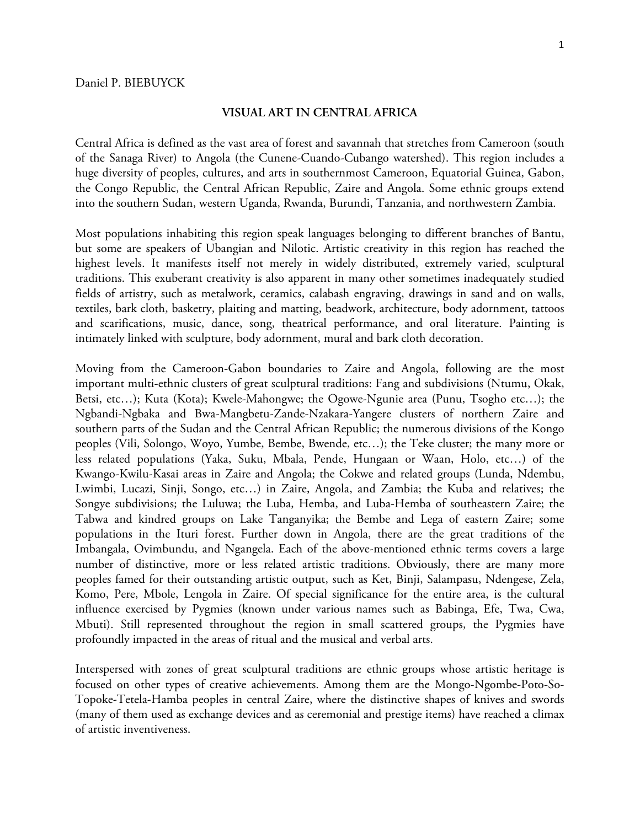## **VISUAL ART IN CENTRAL AFRICA**

Central Africa is defined as the vast area of forest and savannah that stretches from Cameroon (south of the Sanaga River) to Angola (the Cunene-Cuando-Cubango watershed). This region includes a huge diversity of peoples, cultures, and arts in southernmost Cameroon, Equatorial Guinea, Gabon, the Congo Republic, the Central African Republic, Zaire and Angola. Some ethnic groups extend into the southern Sudan, western Uganda, Rwanda, Burundi, Tanzania, and northwestern Zambia.

Most populations inhabiting this region speak languages belonging to different branches of Bantu, but some are speakers of Ubangian and Nilotic. Artistic creativity in this region has reached the highest levels. It manifests itself not merely in widely distributed, extremely varied, sculptural traditions. This exuberant creativity is also apparent in many other sometimes inadequately studied fields of artistry, such as metalwork, ceramics, calabash engraving, drawings in sand and on walls, textiles, bark cloth, basketry, plaiting and matting, beadwork, architecture, body adornment, tattoos and scarifications, music, dance, song, theatrical performance, and oral literature. Painting is intimately linked with sculpture, body adornment, mural and bark cloth decoration.

Moving from the Cameroon-Gabon boundaries to Zaire and Angola, following are the most important multi-ethnic clusters of great sculptural traditions: Fang and subdivisions (Ntumu, Okak, Betsi, etc…); Kuta (Kota); Kwele-Mahongwe; the Ogowe-Ngunie area (Punu, Tsogho etc…); the Ngbandi-Ngbaka and Bwa-Mangbetu-Zande-Nzakara-Yangere clusters of northern Zaire and southern parts of the Sudan and the Central African Republic; the numerous divisions of the Kongo peoples (Vili, Solongo, Woyo, Yumbe, Bembe, Bwende, etc…); the Teke cluster; the many more or less related populations (Yaka, Suku, Mbala, Pende, Hungaan or Waan, Holo, etc…) of the Kwango-Kwilu-Kasai areas in Zaire and Angola; the Cokwe and related groups (Lunda, Ndembu, Lwimbi, Lucazi, Sinji, Songo, etc…) in Zaire, Angola, and Zambia; the Kuba and relatives; the Songye subdivisions; the Luluwa; the Luba, Hemba, and Luba-Hemba of southeastern Zaire; the Tabwa and kindred groups on Lake Tanganyika; the Bembe and Lega of eastern Zaire; some populations in the Ituri forest. Further down in Angola, there are the great traditions of the Imbangala, Ovimbundu, and Ngangela. Each of the above-mentioned ethnic terms covers a large number of distinctive, more or less related artistic traditions. Obviously, there are many more peoples famed for their outstanding artistic output, such as Ket, Binji, Salampasu, Ndengese, Zela, Komo, Pere, Mbole, Lengola in Zaire. Of special significance for the entire area, is the cultural influence exercised by Pygmies (known under various names such as Babinga, Efe, Twa, Cwa, Mbuti). Still represented throughout the region in small scattered groups, the Pygmies have profoundly impacted in the areas of ritual and the musical and verbal arts.

Interspersed with zones of great sculptural traditions are ethnic groups whose artistic heritage is focused on other types of creative achievements. Among them are the Mongo-Ngombe-Poto-So-Topoke-Tetela-Hamba peoples in central Zaire, where the distinctive shapes of knives and swords (many of them used as exchange devices and as ceremonial and prestige items) have reached a climax of artistic inventiveness.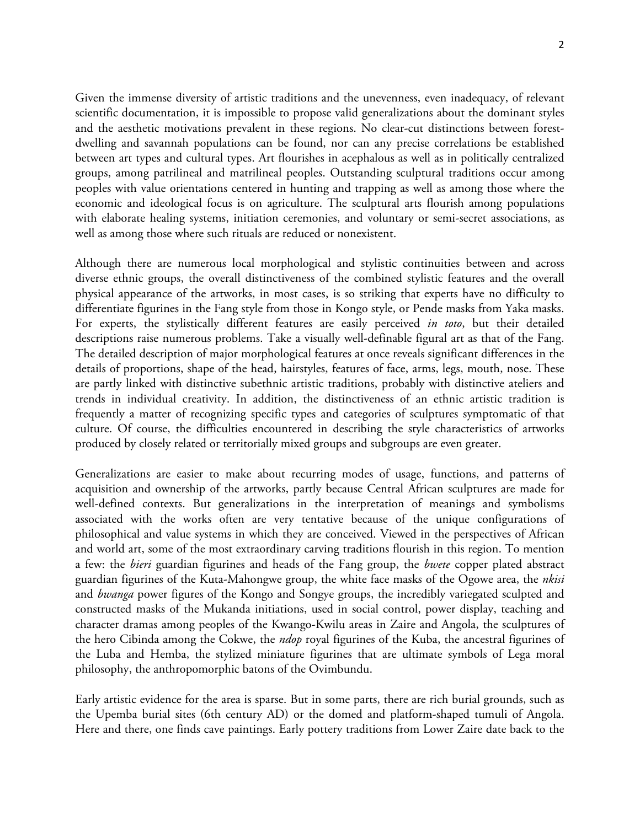Given the immense diversity of artistic traditions and the unevenness, even inadequacy, of relevant scientific documentation, it is impossible to propose valid generalizations about the dominant styles and the aesthetic motivations prevalent in these regions. No clear-cut distinctions between forestdwelling and savannah populations can be found, nor can any precise correlations be established between art types and cultural types. Art flourishes in acephalous as well as in politically centralized groups, among patrilineal and matrilineal peoples. Outstanding sculptural traditions occur among peoples with value orientations centered in hunting and trapping as well as among those where the economic and ideological focus is on agriculture. The sculptural arts flourish among populations with elaborate healing systems, initiation ceremonies, and voluntary or semi-secret associations, as well as among those where such rituals are reduced or nonexistent.

Although there are numerous local morphological and stylistic continuities between and across diverse ethnic groups, the overall distinctiveness of the combined stylistic features and the overall physical appearance of the artworks, in most cases, is so striking that experts have no difficulty to differentiate figurines in the Fang style from those in Kongo style, or Pende masks from Yaka masks. For experts, the stylistically different features are easily perceived *in toto*, but their detailed descriptions raise numerous problems. Take a visually well-definable figural art as that of the Fang. The detailed description of major morphological features at once reveals significant differences in the details of proportions, shape of the head, hairstyles, features of face, arms, legs, mouth, nose. These are partly linked with distinctive subethnic artistic traditions, probably with distinctive ateliers and trends in individual creativity. In addition, the distinctiveness of an ethnic artistic tradition is frequently a matter of recognizing specific types and categories of sculptures symptomatic of that culture. Of course, the difficulties encountered in describing the style characteristics of artworks produced by closely related or territorially mixed groups and subgroups are even greater.

Generalizations are easier to make about recurring modes of usage, functions, and patterns of acquisition and ownership of the artworks, partly because Central African sculptures are made for well-defined contexts. But generalizations in the interpretation of meanings and symbolisms associated with the works often are very tentative because of the unique configurations of philosophical and value systems in which they are conceived. Viewed in the perspectives of African and world art, some of the most extraordinary carving traditions flourish in this region. To mention a few: the *bieri* guardian figurines and heads of the Fang group, the *bwete* copper plated abstract guardian figurines of the Kuta-Mahongwe group, the white face masks of the Ogowe area, the *nkisi* and *bwanga* power figures of the Kongo and Songye groups, the incredibly variegated sculpted and constructed masks of the Mukanda initiations, used in social control, power display, teaching and character dramas among peoples of the Kwango-Kwilu areas in Zaire and Angola, the sculptures of the hero Cibinda among the Cokwe, the *ndop* royal figurines of the Kuba, the ancestral figurines of the Luba and Hemba, the stylized miniature figurines that are ultimate symbols of Lega moral philosophy, the anthropomorphic batons of the Ovimbundu.

Early artistic evidence for the area is sparse. But in some parts, there are rich burial grounds, such as the Upemba burial sites (6th century AD) or the domed and platform-shaped tumuli of Angola. Here and there, one finds cave paintings. Early pottery traditions from Lower Zaire date back to the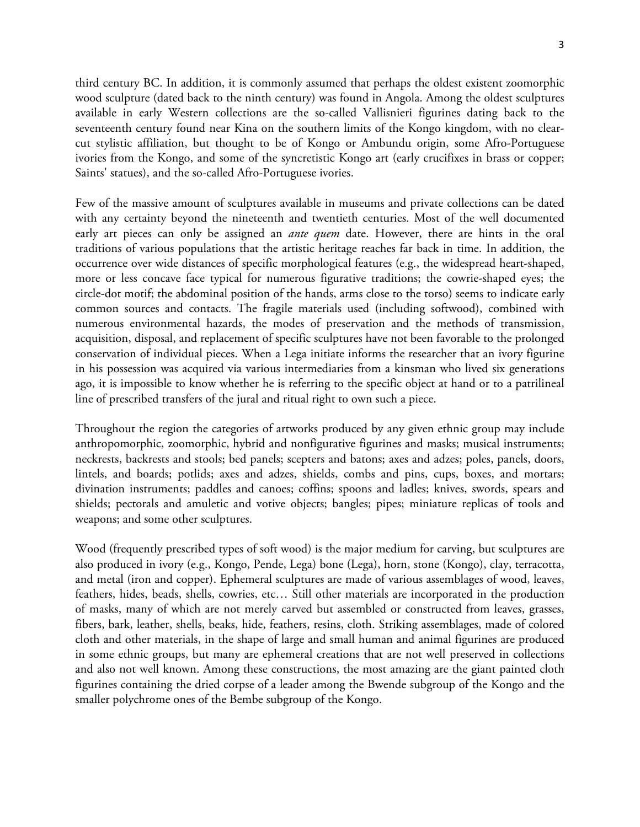3

third century BC. In addition, it is commonly assumed that perhaps the oldest existent zoomorphic wood sculpture (dated back to the ninth century) was found in Angola. Among the oldest sculptures available in early Western collections are the so-called Vallisnieri figurines dating back to the seventeenth century found near Kina on the southern limits of the Kongo kingdom, with no clearcut stylistic affiliation, but thought to be of Kongo or Ambundu origin, some Afro-Portuguese ivories from the Kongo, and some of the syncretistic Kongo art (early crucifixes in brass or copper; Saints' statues), and the so-called Afro-Portuguese ivories.

Few of the massive amount of sculptures available in museums and private collections can be dated with any certainty beyond the nineteenth and twentieth centuries. Most of the well documented early art pieces can only be assigned an *ante quem* date. However, there are hints in the oral traditions of various populations that the artistic heritage reaches far back in time. In addition, the occurrence over wide distances of specific morphological features (e.g., the widespread heart-shaped, more or less concave face typical for numerous figurative traditions; the cowrie-shaped eyes; the circle-dot motif; the abdominal position of the hands, arms close to the torso) seems to indicate early common sources and contacts. The fragile materials used (including softwood), combined with numerous environmental hazards, the modes of preservation and the methods of transmission, acquisition, disposal, and replacement of specific sculptures have not been favorable to the prolonged conservation of individual pieces. When a Lega initiate informs the researcher that an ivory figurine in his possession was acquired via various intermediaries from a kinsman who lived six generations ago, it is impossible to know whether he is referring to the specific object at hand or to a patrilineal line of prescribed transfers of the jural and ritual right to own such a piece.

Throughout the region the categories of artworks produced by any given ethnic group may include anthropomorphic, zoomorphic, hybrid and nonfigurative figurines and masks; musical instruments; neckrests, backrests and stools; bed panels; scepters and batons; axes and adzes; poles, panels, doors, lintels, and boards; potlids; axes and adzes, shields, combs and pins, cups, boxes, and mortars; divination instruments; paddles and canoes; coffins; spoons and ladles; knives, swords, spears and shields; pectorals and amuletic and votive objects; bangles; pipes; miniature replicas of tools and weapons; and some other sculptures.

Wood (frequently prescribed types of soft wood) is the major medium for carving, but sculptures are also produced in ivory (e.g., Kongo, Pende, Lega) bone (Lega), horn, stone (Kongo), clay, terracotta, and metal (iron and copper). Ephemeral sculptures are made of various assemblages of wood, leaves, feathers, hides, beads, shells, cowries, etc… Still other materials are incorporated in the production of masks, many of which are not merely carved but assembled or constructed from leaves, grasses, fibers, bark, leather, shells, beaks, hide, feathers, resins, cloth. Striking assemblages, made of colored cloth and other materials, in the shape of large and small human and animal figurines are produced in some ethnic groups, but many are ephemeral creations that are not well preserved in collections and also not well known. Among these constructions, the most amazing are the giant painted cloth figurines containing the dried corpse of a leader among the Bwende subgroup of the Kongo and the smaller polychrome ones of the Bembe subgroup of the Kongo.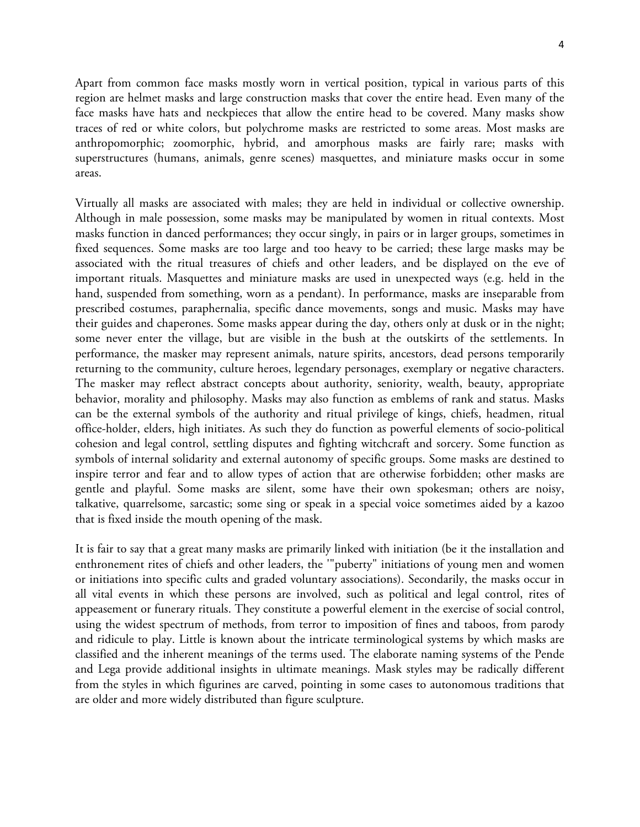Apart from common face masks mostly worn in vertical position, typical in various parts of this region are helmet masks and large construction masks that cover the entire head. Even many of the face masks have hats and neckpieces that allow the entire head to be covered. Many masks show traces of red or white colors, but polychrome masks are restricted to some areas. Most masks are anthropomorphic; zoomorphic, hybrid, and amorphous masks are fairly rare; masks with superstructures (humans, animals, genre scenes) masquettes, and miniature masks occur in some areas.

Virtually all masks are associated with males; they are held in individual or collective ownership. Although in male possession, some masks may be manipulated by women in ritual contexts. Most masks function in danced performances; they occur singly, in pairs or in larger groups, sometimes in fixed sequences. Some masks are too large and too heavy to be carried; these large masks may be associated with the ritual treasures of chiefs and other leaders, and be displayed on the eve of important rituals. Masquettes and miniature masks are used in unexpected ways (e.g. held in the hand, suspended from something, worn as a pendant). In performance, masks are inseparable from prescribed costumes, paraphernalia, specific dance movements, songs and music. Masks may have their guides and chaperones. Some masks appear during the day, others only at dusk or in the night; some never enter the village, but are visible in the bush at the outskirts of the settlements. In performance, the masker may represent animals, nature spirits, ancestors, dead persons temporarily returning to the community, culture heroes, legendary personages, exemplary or negative characters. The masker may reflect abstract concepts about authority, seniority, wealth, beauty, appropriate behavior, morality and philosophy. Masks may also function as emblems of rank and status. Masks can be the external symbols of the authority and ritual privilege of kings, chiefs, headmen, ritual office-holder, elders, high initiates. As such they do function as powerful elements of socio-political cohesion and legal control, settling disputes and fighting witchcraft and sorcery. Some function as symbols of internal solidarity and external autonomy of specific groups. Some masks are destined to inspire terror and fear and to allow types of action that are otherwise forbidden; other masks are gentle and playful. Some masks are silent, some have their own spokesman; others are noisy, talkative, quarrelsome, sarcastic; some sing or speak in a special voice sometimes aided by a kazoo that is fixed inside the mouth opening of the mask.

It is fair to say that a great many masks are primarily linked with initiation (be it the installation and enthronement rites of chiefs and other leaders, the '"puberty" initiations of young men and women or initiations into specific cults and graded voluntary associations). Secondarily, the masks occur in all vital events in which these persons are involved, such as political and legal control, rites of appeasement or funerary rituals. They constitute a powerful element in the exercise of social control, using the widest spectrum of methods, from terror to imposition of fines and taboos, from parody and ridicule to play. Little is known about the intricate terminological systems by which masks are classified and the inherent meanings of the terms used. The elaborate naming systems of the Pende and Lega provide additional insights in ultimate meanings. Mask styles may be radically different from the styles in which figurines are carved, pointing in some cases to autonomous traditions that are older and more widely distributed than figure sculpture.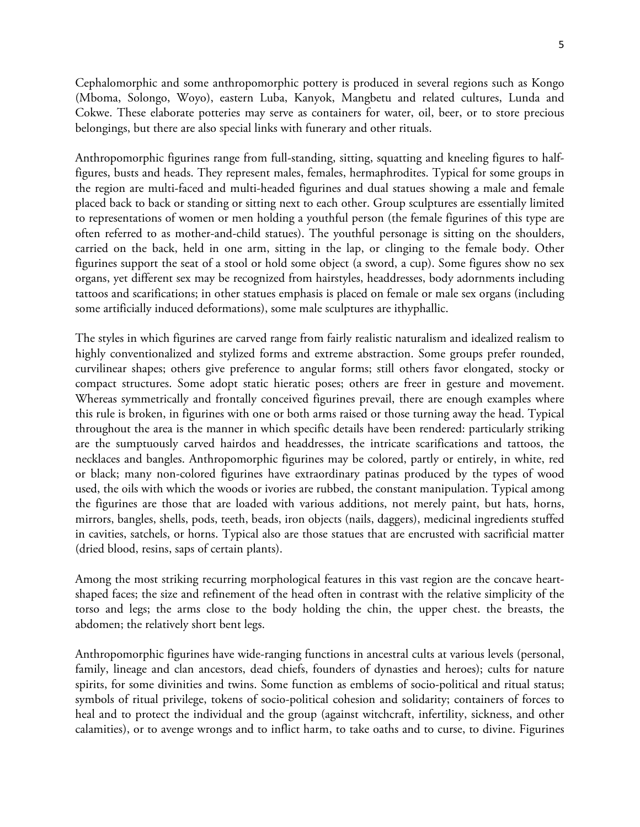Cephalomorphic and some anthropomorphic pottery is produced in several regions such as Kongo (Mboma, Solongo, Woyo), eastern Luba, Kanyok, Mangbetu and related cultures, Lunda and Cokwe. These elaborate potteries may serve as containers for water, oil, beer, or to store precious belongings, but there are also special links with funerary and other rituals.

Anthropomorphic figurines range from full-standing, sitting, squatting and kneeling figures to halffigures, busts and heads. They represent males, females, hermaphrodites. Typical for some groups in the region are multi-faced and multi-headed figurines and dual statues showing a male and female placed back to back or standing or sitting next to each other. Group sculptures are essentially limited to representations of women or men holding a youthful person (the female figurines of this type are often referred to as mother-and-child statues). The youthful personage is sitting on the shoulders, carried on the back, held in one arm, sitting in the lap, or clinging to the female body. Other figurines support the seat of a stool or hold some object (a sword, a cup). Some figures show no sex organs, yet different sex may be recognized from hairstyles, headdresses, body adornments including tattoos and scarifications; in other statues emphasis is placed on female or male sex organs (including some artificially induced deformations), some male sculptures are ithyphallic.

The styles in which figurines are carved range from fairly realistic naturalism and idealized realism to highly conventionalized and stylized forms and extreme abstraction. Some groups prefer rounded, curvilinear shapes; others give preference to angular forms; still others favor elongated, stocky or compact structures. Some adopt static hieratic poses; others are freer in gesture and movement. Whereas symmetrically and frontally conceived figurines prevail, there are enough examples where this rule is broken, in figurines with one or both arms raised or those turning away the head. Typical throughout the area is the manner in which specific details have been rendered: particularly striking are the sumptuously carved hairdos and headdresses, the intricate scarifications and tattoos, the necklaces and bangles. Anthropomorphic figurines may be colored, partly or entirely, in white, red or black; many non-colored figurines have extraordinary patinas produced by the types of wood used, the oils with which the woods or ivories are rubbed, the constant manipulation. Typical among the figurines are those that are loaded with various additions, not merely paint, but hats, horns, mirrors, bangles, shells, pods, teeth, beads, iron objects (nails, daggers), medicinal ingredients stuffed in cavities, satchels, or horns. Typical also are those statues that are encrusted with sacrificial matter (dried blood, resins, saps of certain plants).

Among the most striking recurring morphological features in this vast region are the concave heartshaped faces; the size and refinement of the head often in contrast with the relative simplicity of the torso and legs; the arms close to the body holding the chin, the upper chest. the breasts, the abdomen; the relatively short bent legs.

Anthropomorphic figurines have wide-ranging functions in ancestral cults at various levels (personal, family, lineage and clan ancestors, dead chiefs, founders of dynasties and heroes); cults for nature spirits, for some divinities and twins. Some function as emblems of socio-political and ritual status; symbols of ritual privilege, tokens of socio-political cohesion and solidarity; containers of forces to heal and to protect the individual and the group (against witchcraft, infertility, sickness, and other calamities), or to avenge wrongs and to inflict harm, to take oaths and to curse, to divine. Figurines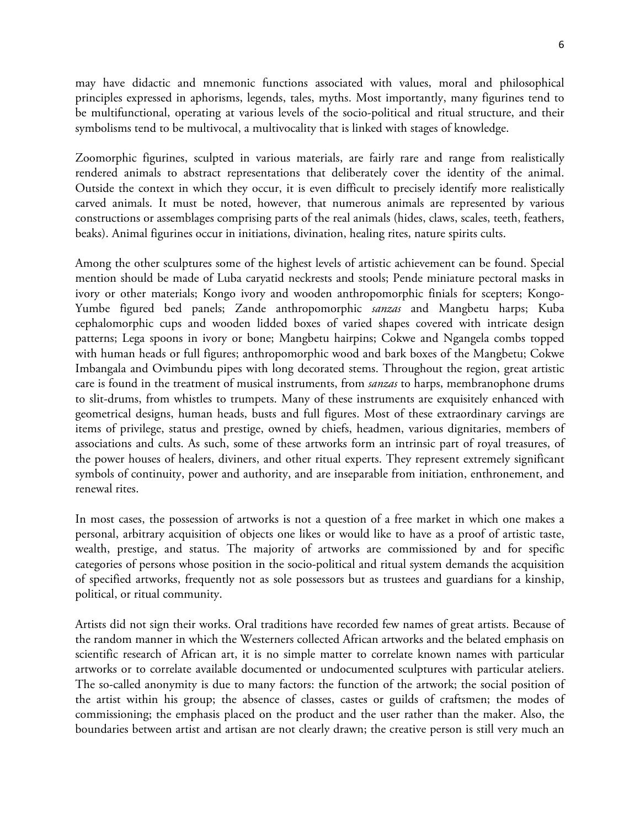may have didactic and mnemonic functions associated with values, moral and philosophical principles expressed in aphorisms, legends, tales, myths. Most importantly, many figurines tend to be multifunctional, operating at various levels of the socio-political and ritual structure, and their symbolisms tend to be multivocal, a multivocality that is linked with stages of knowledge.

Zoomorphic figurines, sculpted in various materials, are fairly rare and range from realistically rendered animals to abstract representations that deliberately cover the identity of the animal. Outside the context in which they occur, it is even difficult to precisely identify more realistically carved animals. It must be noted, however, that numerous animals are represented by various constructions or assemblages comprising parts of the real animals (hides, claws, scales, teeth, feathers, beaks). Animal figurines occur in initiations, divination, healing rites, nature spirits cults.

Among the other sculptures some of the highest levels of artistic achievement can be found. Special mention should be made of Luba caryatid neckrests and stools; Pende miniature pectoral masks in ivory or other materials; Kongo ivory and wooden anthropomorphic finials for scepters; Kongo-Yumbe figured bed panels; Zande anthropomorphic *sanzas* and Mangbetu harps; Kuba cephalomorphic cups and wooden lidded boxes of varied shapes covered with intricate design patterns; Lega spoons in ivory or bone; Mangbetu hairpins; Cokwe and Ngangela combs topped with human heads or full figures; anthropomorphic wood and bark boxes of the Mangbetu; Cokwe Imbangala and Ovimbundu pipes with long decorated stems. Throughout the region, great artistic care is found in the treatment of musical instruments, from *sanzas* to harps, membranophone drums to slit-drums, from whistles to trumpets. Many of these instruments are exquisitely enhanced with geometrical designs, human heads, busts and full figures. Most of these extraordinary carvings are items of privilege, status and prestige, owned by chiefs, headmen, various dignitaries, members of associations and cults. As such, some of these artworks form an intrinsic part of royal treasures, of the power houses of healers, diviners, and other ritual experts. They represent extremely significant symbols of continuity, power and authority, and are inseparable from initiation, enthronement, and renewal rites.

In most cases, the possession of artworks is not a question of a free market in which one makes a personal, arbitrary acquisition of objects one likes or would like to have as a proof of artistic taste, wealth, prestige, and status. The majority of artworks are commissioned by and for specific categories of persons whose position in the socio-political and ritual system demands the acquisition of specified artworks, frequently not as sole possessors but as trustees and guardians for a kinship, political, or ritual community.

Artists did not sign their works. Oral traditions have recorded few names of great artists. Because of the random manner in which the Westerners collected African artworks and the belated emphasis on scientific research of African art, it is no simple matter to correlate known names with particular artworks or to correlate available documented or undocumented sculptures with particular ateliers. The so-called anonymity is due to many factors: the function of the artwork; the social position of the artist within his group; the absence of classes, castes or guilds of craftsmen; the modes of commissioning; the emphasis placed on the product and the user rather than the maker. Also, the boundaries between artist and artisan are not clearly drawn; the creative person is still very much an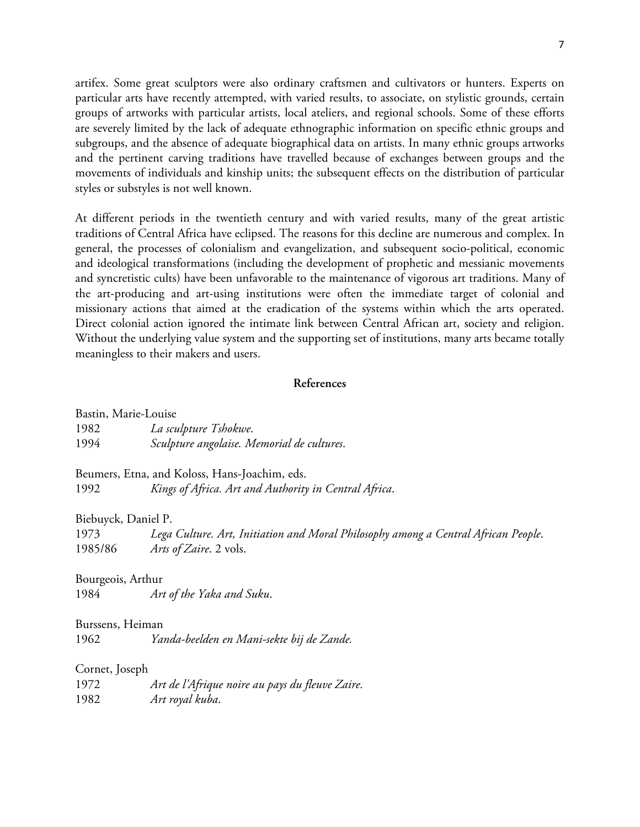artifex. Some great sculptors were also ordinary craftsmen and cultivators or hunters. Experts on particular arts have recently attempted, with varied results, to associate, on stylistic grounds, certain groups of artworks with particular artists, local ateliers, and regional schools. Some of these efforts are severely limited by the lack of adequate ethnographic information on specific ethnic groups and subgroups, and the absence of adequate biographical data on artists. In many ethnic groups artworks and the pertinent carving traditions have travelled because of exchanges between groups and the movements of individuals and kinship units; the subsequent effects on the distribution of particular styles or substyles is not well known.

At different periods in the twentieth century and with varied results, many of the great artistic traditions of Central Africa have eclipsed. The reasons for this decline are numerous and complex. In general, the processes of colonialism and evangelization, and subsequent socio-political, economic and ideological transformations (including the development of prophetic and messianic movements and syncretistic cults) have been unfavorable to the maintenance of vigorous art traditions. Many of the art-producing and art-using institutions were often the immediate target of colonial and missionary actions that aimed at the eradication of the systems within which the arts operated. Direct colonial action ignored the intimate link between Central African art, society and religion. Without the underlying value system and the supporting set of institutions, many arts became totally meaningless to their makers and users.

## **References**

| Bastin, Marie-Louise                          |                                                                                    |  |
|-----------------------------------------------|------------------------------------------------------------------------------------|--|
| 1982                                          | La sculpture Tshokwe.                                                              |  |
| 1994                                          | Sculpture angolaise. Memorial de cultures.                                         |  |
| Beumers, Etna, and Koloss, Hans-Joachim, eds. |                                                                                    |  |
| 1992                                          | Kings of Africa. Art and Authority in Central Africa.                              |  |
| Biebuyck, Daniel P.                           |                                                                                    |  |
| 1973                                          | Lega Culture. Art, Initiation and Moral Philosophy among a Central African People. |  |
| 1985/86                                       | Arts of Zaire. 2 vols.                                                             |  |
| Bourgeois, Arthur                             |                                                                                    |  |
| 1984                                          | Art of the Yaka and Suku.                                                          |  |
| Burssens, Heiman                              |                                                                                    |  |
| 1962                                          | Yanda-beelden en Mani-sekte bij de Zande.                                          |  |
| Cornet, Joseph                                |                                                                                    |  |
| 1972                                          | Art de l'Afrique noire au pays du fleuve Zaire.                                    |  |
| 1982                                          | Art royal kuba.                                                                    |  |